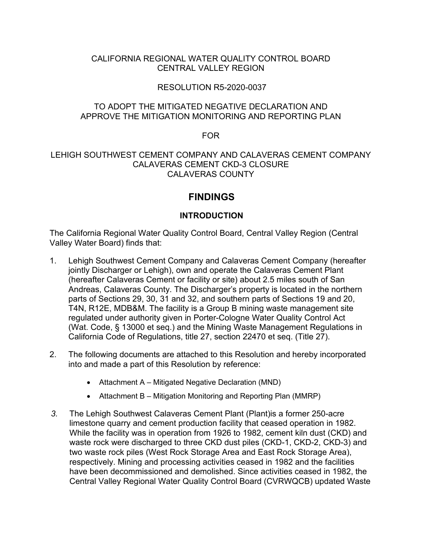#### CALIFORNIA REGIONAL WATER QUALITY CONTROL BOARD CENTRAL VALLEY REGION

#### RESOLUTION R5-2020-0037

#### TO ADOPT THE MITIGATED NEGATIVE DECLARATION AND APPROVE THE MITIGATION MONITORING AND REPORTING PLAN

#### FOR

#### LEHIGH SOUTHWEST CEMENT COMPANY AND CALAVERAS CEMENT COMPANY CALAVERAS CEMENT CKD-3 CLOSURE CALAVERAS COUNTY

### **FINDINGS**

#### **INTRODUCTION**

The California Regional Water Quality Control Board, Central Valley Region (Central Valley Water Board) finds that:

- 1. Lehigh Southwest Cement Company and Calaveras Cement Company (hereafter jointly Discharger or Lehigh), own and operate the Calaveras Cement Plant (hereafter Calaveras Cement or facility or site) about 2.5 miles south of San Andreas, Calaveras County. The Discharger's property is located in the northern parts of Sections 29, 30, 31 and 32, and southern parts of Sections 19 and 20, T4N, R12E, MDB&M. The facility is a Group B mining waste management site regulated under authority given in Porter-Cologne Water Quality Control Act (Wat. Code, § 13000 et seq.) and the Mining Waste Management Regulations in California Code of Regulations, title 27, section 22470 et seq. (Title 27).
- 2. The following documents are attached to this Resolution and hereby incorporated into and made a part of this Resolution by reference:
	- Attachment A Mitigated Negative Declaration (MND)
	- Attachment B Mitigation Monitoring and Reporting Plan (MMRP)
- *3.* The Lehigh Southwest Calaveras Cement Plant (Plant)is a former 250-acre limestone quarry and cement production facility that ceased operation in 1982. While the facility was in operation from 1926 to 1982, cement kiln dust (CKD) and waste rock were discharged to three CKD dust piles (CKD-1, CKD-2, CKD-3) and two waste rock piles (West Rock Storage Area and East Rock Storage Area), respectively. Mining and processing activities ceased in 1982 and the facilities have been decommissioned and demolished. Since activities ceased in 1982, the Central Valley Regional Water Quality Control Board (CVRWQCB) updated Waste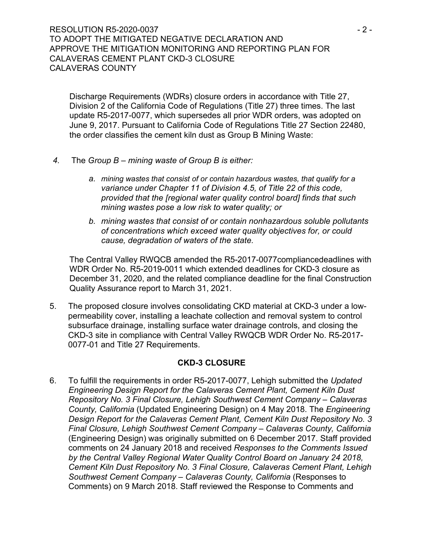#### RESOLUTION R5-2020-0037 **and the set of the set of the set of the set of the set of the set of the set of the set of the set of the set of the set of the set of the set of the set of the set of the set of the set of the se** TO ADOPT THE MITIGATED NEGATIVE DECLARATION AND APPROVE THE MITIGATION MONITORING AND REPORTING PLAN FOR CALAVERAS CEMENT PLANT CKD-3 CLOSURE CALAVERAS COUNTY

Discharge Requirements (WDRs) closure orders in accordance with Title 27, Division 2 of the California Code of Regulations (Title 27) three times. The last update R5-2017-0077, which supersedes all prior WDR orders, was adopted on June 9, 2017. Pursuant to California Code of Regulations Title 27 Section 22480, the order classifies the cement kiln dust as Group B Mining Waste:

- *4.* The *Group B mining waste of Group B is either:*
	- *a. mining wastes that consist of or contain hazardous wastes, that qualify for a variance under Chapter 11 of Division 4.5, of Title 22 of this code, provided that the [regional water quality control board] finds that such mining wastes pose a low risk to water quality; or*
	- *b. mining wastes that consist of or contain nonhazardous soluble pollutants of concentrations which exceed water quality objectives for, or could cause, degradation of waters of the state.*

The Central Valley RWQCB amended the R5-2017-0077compliancedeadlines with WDR Order No. R5-2019-0011 which extended deadlines for CKD-3 closure as December 31, 2020, and the related compliance deadline for the final Construction Quality Assurance report to March 31, 2021.

5. The proposed closure involves consolidating CKD material at CKD-3 under a lowpermeability cover, installing a leachate collection and removal system to control subsurface drainage, installing surface water drainage controls, and closing the CKD-3 site in compliance with Central Valley RWQCB WDR Order No. R5-2017- 0077-01 and Title 27 Requirements.

#### **CKD-3 CLOSURE**

6. To fulfill the requirements in order R5-2017-0077, Lehigh submitted the *Updated Engineering Design Report for the Calaveras Cement Plant, Cement Kiln Dust Repository No. 3 Final Closure, Lehigh Southwest Cement Company – Calaveras County, California* (Updated Engineering Design) on 4 May 2018. The *Engineering Design Report for the Calaveras Cement Plant, Cement Kiln Dust Repository No. 3 Final Closure, Lehigh Southwest Cement Company – Calaveras County, California* (Engineering Design) was originally submitted on 6 December 2017. Staff provided comments on 24 January 2018 and received *Responses to the Comments Issued by the Central Valley Regional Water Quality Control Board on January 24 2018, Cement Kiln Dust Repository No. 3 Final Closure, Calaveras Cement Plant, Lehigh Southwest Cement Company – Calaveras County, California* (Responses to Comments) on 9 March 2018. Staff reviewed the Response to Comments and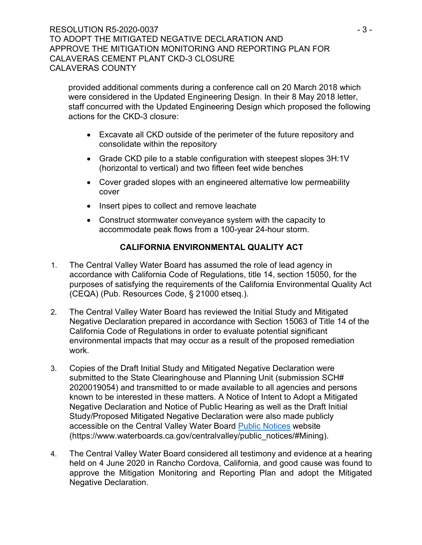#### RESOLUTION R5-2020-0037 **and the set of the set of the set of the set of the set of the set of the set of the set of the set of the set of the set of the set of the set of the set of the set of the set of the set of the se** TO ADOPT THE MITIGATED NEGATIVE DECLARATION AND APPROVE THE MITIGATION MONITORING AND REPORTING PLAN FOR CALAVERAS CEMENT PLANT CKD-3 CLOSURE CALAVERAS COUNTY

provided additional comments during a conference call on 20 March 2018 which were considered in the Updated Engineering Design. In their 8 May 2018 letter, staff concurred with the Updated Engineering Design which proposed the following actions for the CKD-3 closure:

- Excavate all CKD outside of the perimeter of the future repository and consolidate within the repository
- Grade CKD pile to a stable configuration with steepest slopes 3H:1V (horizontal to vertical) and two fifteen feet wide benches
- Cover graded slopes with an engineered alternative low permeability cover
- Insert pipes to collect and remove leachate
- Construct stormwater conveyance system with the capacity to accommodate peak flows from a 100-year 24-hour storm.

#### **CALIFORNIA ENVIRONMENTAL QUALITY ACT**

- 1. The Central Valley Water Board has assumed the role of lead agency in accordance with California Code of Regulations, title 14, section 15050, for the purposes of satisfying the requirements of the California Environmental Quality Act (CEQA) (Pub. Resources Code, § 21000 etseq.).
- 2. The Central Valley Water Board has reviewed the Initial Study and Mitigated Negative Declaration prepared in accordance with Section 15063 of Title 14 of the California Code of Regulations in order to evaluate potential significant environmental impacts that may occur as a result of the proposed remediation work.
- 3. Copies of the Draft Initial Study and Mitigated Negative Declaration were submitted to the State Clearinghouse and Planning Unit (submission SCH# 2020019054) and transmitted to or made available to all agencies and persons known to be interested in these matters. A Notice of Intent to Adopt a Mitigated Negative Declaration and Notice of Public Hearing as well as the Draft Initial Study/Proposed Mitigated Negative Declaration were also made publicly accessible on the Central Valley Water Board [Public Notices](https://www.waterboards.ca.gov/centralvalley/public_notices/#Mining) website (https://www.waterboards.ca.gov/centralvalley/public\_notices/#Mining).
- 4. The Central Valley Water Board considered all testimony and evidence at a hearing held on 4 June 2020 in Rancho Cordova, California, and good cause was found to approve the Mitigation Monitoring and Reporting Plan and adopt the Mitigated Negative Declaration.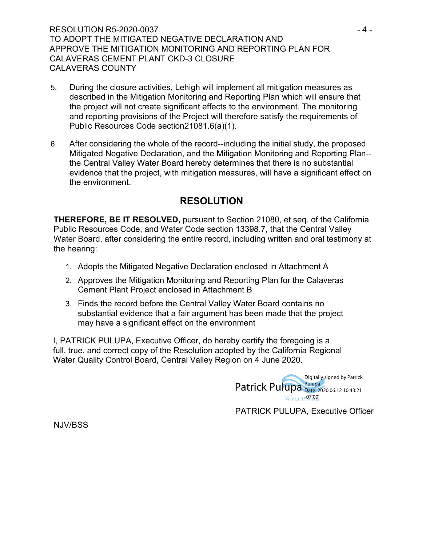#### RESOLUTION R5-2020-0037 - 4 - TO ADOPT THE MITIGATED NEGATIVE DECLARATION AND APPROVE THE MITIGATION MONITORING AND REPORTING PLAN FOR CALAVERAS CEMENT PLANT CKD-3 CLOSURE CALAVERAS COUNTY

- 5. During the closure activities, Lehigh will implement all mitigation measures as described in the Mitigation Monitoring and Reporting Plan which will ensure that the project will not create significant effects to the environment. The monitoring and reporting provisions of the Project will therefore satisfy the requirements of Public Resources Code section21081.6(a)(1).
- 6. After considering the whole of the record--including the initial study, the proposed Mitigated Negative Declaration, and the Mitigation Monitoring and Reporting Plan- the Central Valley Water Board hereby determines that there is no substantial evidence that the project, with mitigation measures, will have a significant effect on the environment.

## **RESOLUTION**

**THEREFORE, BE IT RESOLVED,** pursuant to Section 21080, et seq. of the California Public Resources Code, and Water Code section 13398.7, that the Central Valley Water Board, after considering the entire record, including written and oral testimony at the hearing:

- 1. Adopts the Mitigated Negative Declaration enclosed in Attachment A
- 2. Approves the Mitigation Monitoring and Reporting Plan for the Calaveras Cement Plant Project enclosed in Attachment B
- 3. Finds the record before the Central Valley Water Board contains no substantial evidence that a fair argument has been made that the project may have a significant effect on the environment

I, PATRICK PULUPA, Executive Officer, do hereby certify the foregoing is a full, true, and correct copy of the Resolution adopted by the California Regional Water Quality Control Board, Central Valley Region on 4 June 2020.



PATRICK PULUPA, Executive Officer

NJV/BSS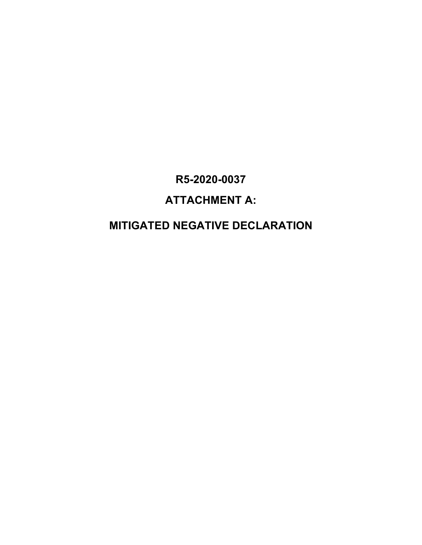**R5-2020-0037 ATTACHMENT A: MITIGATED NEGATIVE DECLARATION**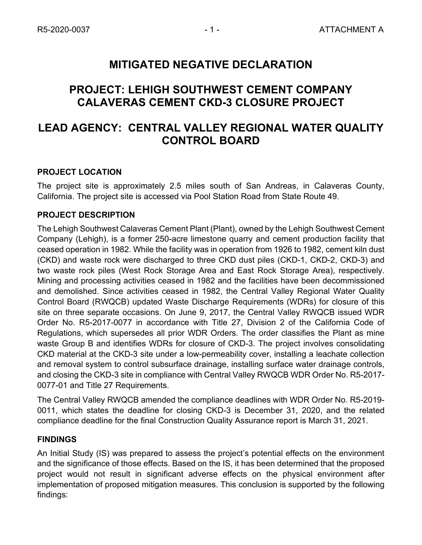## **MITIGATED NEGATIVE DECLARATION**

# **PROJECT: LEHIGH SOUTHWEST CEMENT COMPANY CALAVERAS CEMENT CKD-3 CLOSURE PROJECT**

## **LEAD AGENCY: CENTRAL VALLEY REGIONAL WATER QUALITY CONTROL BOARD**

#### **PROJECT LOCATION**

The project site is approximately 2.5 miles south of San Andreas, in Calaveras County, California. The project site is accessed via Pool Station Road from State Route 49.

#### **PROJECT DESCRIPTION**

The Lehigh Southwest Calaveras Cement Plant (Plant), owned by the Lehigh Southwest Cement Company (Lehigh), is a former 250-acre limestone quarry and cement production facility that ceased operation in 1982. While the facility was in operation from 1926 to 1982, cement kiln dust (CKD) and waste rock were discharged to three CKD dust piles (CKD-1, CKD-2, CKD-3) and two waste rock piles (West Rock Storage Area and East Rock Storage Area), respectively. Mining and processing activities ceased in 1982 and the facilities have been decommissioned and demolished. Since activities ceased in 1982, the Central Valley Regional Water Quality Control Board (RWQCB) updated Waste Discharge Requirements (WDRs) for closure of this site on three separate occasions. On June 9, 2017, the Central Valley RWQCB issued WDR Order No. R5-2017-0077 in accordance with Title 27, Division 2 of the California Code of Regulations, which supersedes all prior WDR Orders. The order classifies the Plant as mine waste Group B and identifies WDRs for closure of CKD-3. The project involves consolidating CKD material at the CKD-3 site under a low-permeability cover, installing a leachate collection and removal system to control subsurface drainage, installing surface water drainage controls, and closing the CKD-3 site in compliance with Central Valley RWQCB WDR Order No. R5-2017- 0077-01 and Title 27 Requirements.

The Central Valley RWQCB amended the compliance deadlines with WDR Order No. R5-2019- 0011, which states the deadline for closing CKD-3 is December 31, 2020, and the related compliance deadline for the final Construction Quality Assurance report is March 31, 2021.

#### **FINDINGS**

An Initial Study (IS) was prepared to assess the project's potential effects on the environment and the significance of those effects. Based on the IS, it has been determined that the proposed project would not result in significant adverse effects on the physical environment after implementation of proposed mitigation measures. This conclusion is supported by the following findings: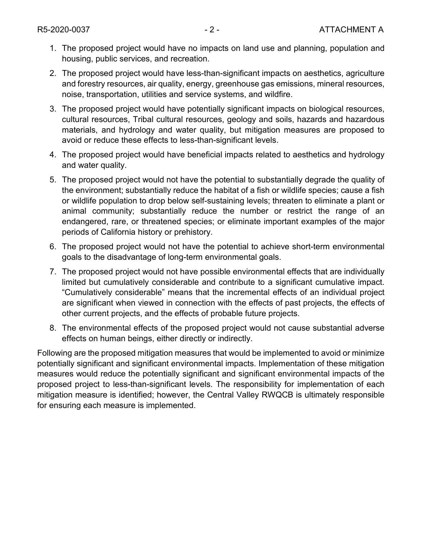- 1. The proposed project would have no impacts on land use and planning, population and housing, public services, and recreation.
- 2. The proposed project would have less-than-significant impacts on aesthetics, agriculture and forestry resources, air quality, energy, greenhouse gas emissions, mineral resources, noise, transportation, utilities and service systems, and wildfire.
- 3. The proposed project would have potentially significant impacts on biological resources, cultural resources, Tribal cultural resources, geology and soils, hazards and hazardous materials, and hydrology and water quality, but mitigation measures are proposed to avoid or reduce these effects to less-than-significant levels.
- 4. The proposed project would have beneficial impacts related to aesthetics and hydrology and water quality.
- 5. The proposed project would not have the potential to substantially degrade the quality of the environment; substantially reduce the habitat of a fish or wildlife species; cause a fish or wildlife population to drop below self-sustaining levels; threaten to eliminate a plant or animal community; substantially reduce the number or restrict the range of an endangered, rare, or threatened species; or eliminate important examples of the major periods of California history or prehistory.
- 6. The proposed project would not have the potential to achieve short-term environmental goals to the disadvantage of long-term environmental goals.
- 7. The proposed project would not have possible environmental effects that are individually limited but cumulatively considerable and contribute to a significant cumulative impact. "Cumulatively considerable" means that the incremental effects of an individual project are significant when viewed in connection with the effects of past projects, the effects of other current projects, and the effects of probable future projects.
- 8. The environmental effects of the proposed project would not cause substantial adverse effects on human beings, either directly or indirectly.

Following are the proposed mitigation measures that would be implemented to avoid or minimize potentially significant and significant environmental impacts. Implementation of these mitigation measures would reduce the potentially significant and significant environmental impacts of the proposed project to less-than-significant levels. The responsibility for implementation of each mitigation measure is identified; however, the Central Valley RWQCB is ultimately responsible for ensuring each measure is implemented.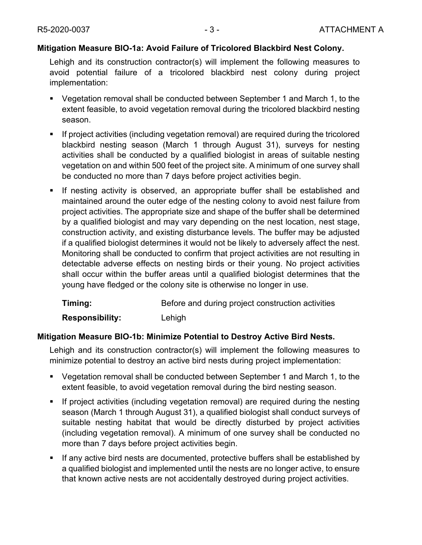#### **Mitigation Measure BIO-1a: Avoid Failure of Tricolored Blackbird Nest Colony.**

Lehigh and its construction contractor(s) will implement the following measures to avoid potential failure of a tricolored blackbird nest colony during project implementation:

- Vegetation removal shall be conducted between September 1 and March 1, to the extent feasible, to avoid vegetation removal during the tricolored blackbird nesting season.
- **If project activities (including vegetation removal) are required during the tricolored** blackbird nesting season (March 1 through August 31), surveys for nesting activities shall be conducted by a qualified biologist in areas of suitable nesting vegetation on and within 500 feet of the project site. A minimum of one survey shall be conducted no more than 7 days before project activities begin.
- If nesting activity is observed, an appropriate buffer shall be established and maintained around the outer edge of the nesting colony to avoid nest failure from project activities. The appropriate size and shape of the buffer shall be determined by a qualified biologist and may vary depending on the nest location, nest stage, construction activity, and existing disturbance levels. The buffer may be adjusted if a qualified biologist determines it would not be likely to adversely affect the nest. Monitoring shall be conducted to confirm that project activities are not resulting in detectable adverse effects on nesting birds or their young. No project activities shall occur within the buffer areas until a qualified biologist determines that the young have fledged or the colony site is otherwise no longer in use.

**Timing:** Before and during project construction activities

**Responsibility:** Lehigh

#### **Mitigation Measure BIO-1b: Minimize Potential to Destroy Active Bird Nests.**

Lehigh and its construction contractor(s) will implement the following measures to minimize potential to destroy an active bird nests during project implementation:

- Vegetation removal shall be conducted between September 1 and March 1, to the extent feasible, to avoid vegetation removal during the bird nesting season.
- If project activities (including vegetation removal) are required during the nesting season (March 1 through August 31), a qualified biologist shall conduct surveys of suitable nesting habitat that would be directly disturbed by project activities (including vegetation removal). A minimum of one survey shall be conducted no more than 7 days before project activities begin.
- If any active bird nests are documented, protective buffers shall be established by a qualified biologist and implemented until the nests are no longer active, to ensure that known active nests are not accidentally destroyed during project activities.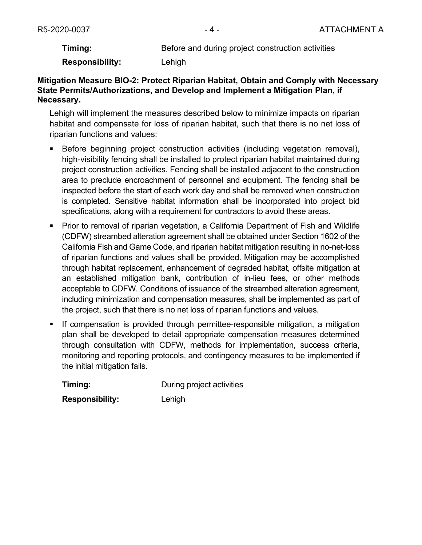| Timing:                | Before and during project construction activities |
|------------------------|---------------------------------------------------|
| <b>Responsibility:</b> | Lehigh                                            |

#### **Mitigation Measure BIO-2: Protect Riparian Habitat, Obtain and Comply with Necessary State Permits/Authorizations, and Develop and Implement a Mitigation Plan, if Necessary.**

Lehigh will implement the measures described below to minimize impacts on riparian habitat and compensate for loss of riparian habitat, such that there is no net loss of riparian functions and values:

- Before beginning project construction activities (including vegetation removal), high-visibility fencing shall be installed to protect riparian habitat maintained during project construction activities. Fencing shall be installed adjacent to the construction area to preclude encroachment of personnel and equipment. The fencing shall be inspected before the start of each work day and shall be removed when construction is completed. Sensitive habitat information shall be incorporated into project bid specifications, along with a requirement for contractors to avoid these areas.
- Prior to removal of riparian vegetation, a California Department of Fish and Wildlife (CDFW) streambed alteration agreement shall be obtained under Section 1602 of the California Fish and Game Code, and riparian habitat mitigation resulting in no-net-loss of riparian functions and values shall be provided. Mitigation may be accomplished through habitat replacement, enhancement of degraded habitat, offsite mitigation at an established mitigation bank, contribution of in-lieu fees, or other methods acceptable to CDFW. Conditions of issuance of the streambed alteration agreement, including minimization and compensation measures, shall be implemented as part of the project, such that there is no net loss of riparian functions and values.
- If compensation is provided through permittee-responsible mitigation, a mitigation plan shall be developed to detail appropriate compensation measures determined through consultation with CDFW, methods for implementation, success criteria, monitoring and reporting protocols, and contingency measures to be implemented if the initial mitigation fails.

| Timing:                | During project activities |
|------------------------|---------------------------|
| <b>Responsibility:</b> | Lehigh                    |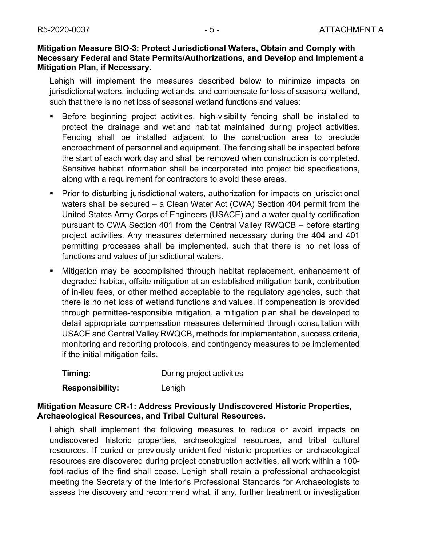#### **Mitigation Measure BIO-3: Protect Jurisdictional Waters, Obtain and Comply with Necessary Federal and State Permits/Authorizations, and Develop and Implement a Mitigation Plan, if Necessary.**

Lehigh will implement the measures described below to minimize impacts on jurisdictional waters, including wetlands, and compensate for loss of seasonal wetland, such that there is no net loss of seasonal wetland functions and values:

- Before beginning project activities, high-visibility fencing shall be installed to protect the drainage and wetland habitat maintained during project activities. Fencing shall be installed adjacent to the construction area to preclude encroachment of personnel and equipment. The fencing shall be inspected before the start of each work day and shall be removed when construction is completed. Sensitive habitat information shall be incorporated into project bid specifications, along with a requirement for contractors to avoid these areas.
- Prior to disturbing jurisdictional waters, authorization for impacts on jurisdictional waters shall be secured – a Clean Water Act (CWA) Section 404 permit from the United States Army Corps of Engineers (USACE) and a water quality certification pursuant to CWA Section 401 from the Central Valley RWQCB – before starting project activities. Any measures determined necessary during the 404 and 401 permitting processes shall be implemented, such that there is no net loss of functions and values of jurisdictional waters.
- Mitigation may be accomplished through habitat replacement, enhancement of degraded habitat, offsite mitigation at an established mitigation bank, contribution of in-lieu fees, or other method acceptable to the regulatory agencies, such that there is no net loss of wetland functions and values. If compensation is provided through permittee-responsible mitigation, a mitigation plan shall be developed to detail appropriate compensation measures determined through consultation with USACE and Central Valley RWQCB, methods for implementation, success criteria, monitoring and reporting protocols, and contingency measures to be implemented if the initial mitigation fails.

**Timing:** During project activities

**Responsibility:** Lehigh

#### **Mitigation Measure CR-1: Address Previously Undiscovered Historic Properties, Archaeological Resources, and Tribal Cultural Resources.**

Lehigh shall implement the following measures to reduce or avoid impacts on undiscovered historic properties, archaeological resources, and tribal cultural resources. If buried or previously unidentified historic properties or archaeological resources are discovered during project construction activities, all work within a 100 foot-radius of the find shall cease. Lehigh shall retain a professional archaeologist meeting the Secretary of the Interior's Professional Standards for Archaeologists to assess the discovery and recommend what, if any, further treatment or investigation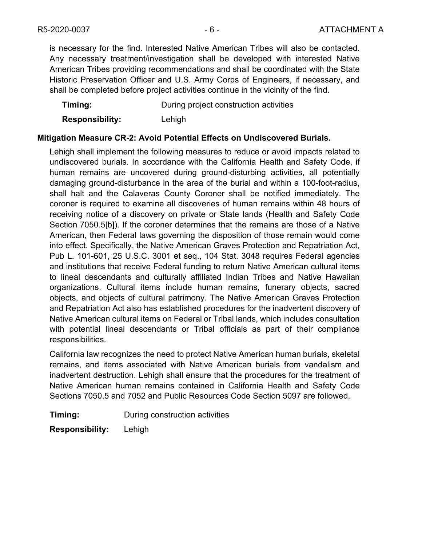is necessary for the find. Interested Native American Tribes will also be contacted. Any necessary treatment/investigation shall be developed with interested Native American Tribes providing recommendations and shall be coordinated with the State Historic Preservation Officer and U.S. Army Corps of Engineers, if necessary, and shall be completed before project activities continue in the vicinity of the find.

**Timing:** During project construction activities **Responsibility:** Lehigh

#### **Mitigation Measure CR-2: Avoid Potential Effects on Undiscovered Burials.**

Lehigh shall implement the following measures to reduce or avoid impacts related to undiscovered burials. In accordance with the California Health and Safety Code, if human remains are uncovered during ground-disturbing activities, all potentially damaging ground-disturbance in the area of the burial and within a 100-foot-radius, shall halt and the Calaveras County Coroner shall be notified immediately. The coroner is required to examine all discoveries of human remains within 48 hours of receiving notice of a discovery on private or State lands (Health and Safety Code Section 7050.5[b]). If the coroner determines that the remains are those of a Native American, then Federal laws governing the disposition of those remain would come into effect. Specifically, the Native American Graves Protection and Repatriation Act, Pub L. 101-601, 25 U.S.C. 3001 et seq., 104 Stat. 3048 requires Federal agencies and institutions that receive Federal funding to return Native American cultural items to lineal descendants and culturally affiliated Indian Tribes and Native Hawaiian organizations. Cultural items include human remains, funerary objects, sacred objects, and objects of cultural patrimony. The Native American Graves Protection and Repatriation Act also has established procedures for the inadvertent discovery of Native American cultural items on Federal or Tribal lands, which includes consultation with potential lineal descendants or Tribal officials as part of their compliance responsibilities.

California law recognizes the need to protect Native American human burials, skeletal remains, and items associated with Native American burials from vandalism and inadvertent destruction. Lehigh shall ensure that the procedures for the treatment of Native American human remains contained in California Health and Safety Code Sections 7050.5 and 7052 and Public Resources Code Section 5097 are followed.

**Timing:** During construction activities

**Responsibility:** Lehigh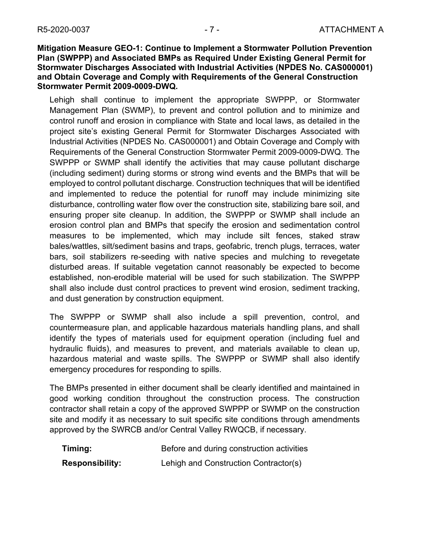**Mitigation Measure GEO-1: Continue to Implement a Stormwater Pollution Prevention Plan (SWPPP) and Associated BMPs as Required Under Existing General Permit for Stormwater Discharges Associated with Industrial Activities (NPDES No. CAS000001) and Obtain Coverage and Comply with Requirements of the General Construction Stormwater Permit 2009-0009-DWQ.** 

Lehigh shall continue to implement the appropriate SWPPP, or Stormwater Management Plan (SWMP), to prevent and control pollution and to minimize and control runoff and erosion in compliance with State and local laws, as detailed in the project site's existing General Permit for Stormwater Discharges Associated with Industrial Activities (NPDES No. CAS000001) and Obtain Coverage and Comply with Requirements of the General Construction Stormwater Permit 2009-0009-DWQ. The SWPPP or SWMP shall identify the activities that may cause pollutant discharge (including sediment) during storms or strong wind events and the BMPs that will be employed to control pollutant discharge. Construction techniques that will be identified and implemented to reduce the potential for runoff may include minimizing site disturbance, controlling water flow over the construction site, stabilizing bare soil, and ensuring proper site cleanup. In addition, the SWPPP or SWMP shall include an erosion control plan and BMPs that specify the erosion and sedimentation control measures to be implemented, which may include silt fences, staked straw bales/wattles, silt/sediment basins and traps, geofabric, trench plugs, terraces, water bars, soil stabilizers re-seeding with native species and mulching to revegetate disturbed areas. If suitable vegetation cannot reasonably be expected to become established, non-erodible material will be used for such stabilization. The SWPPP shall also include dust control practices to prevent wind erosion, sediment tracking, and dust generation by construction equipment.

The SWPPP or SWMP shall also include a spill prevention, control, and countermeasure plan, and applicable hazardous materials handling plans, and shall identify the types of materials used for equipment operation (including fuel and hydraulic fluids), and measures to prevent, and materials available to clean up, hazardous material and waste spills. The SWPPP or SWMP shall also identify emergency procedures for responding to spills.

The BMPs presented in either document shall be clearly identified and maintained in good working condition throughout the construction process. The construction contractor shall retain a copy of the approved SWPPP or SWMP on the construction site and modify it as necessary to suit specific site conditions through amendments approved by the SWRCB and/or Central Valley RWQCB, if necessary.

| Timing:                | Before and during construction activities |
|------------------------|-------------------------------------------|
| <b>Responsibility:</b> | Lehigh and Construction Contractor(s)     |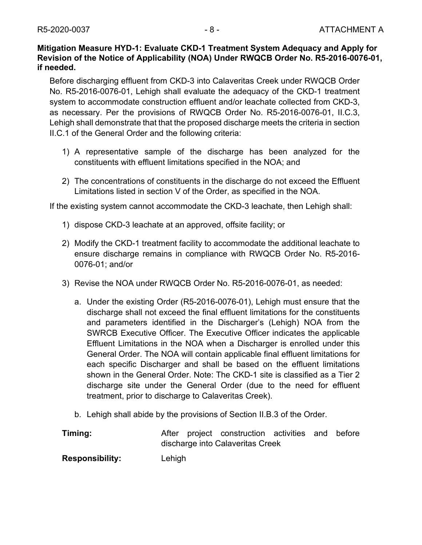#### **Mitigation Measure HYD-1: Evaluate CKD-1 Treatment System Adequacy and Apply for Revision of the Notice of Applicability (NOA) Under RWQCB Order No. R5-2016-0076-01, if needed.**

Before discharging effluent from CKD-3 into Calaveritas Creek under RWQCB Order No. R5-2016-0076-01, Lehigh shall evaluate the adequacy of the CKD-1 treatment system to accommodate construction effluent and/or leachate collected from CKD-3, as necessary. Per the provisions of RWQCB Order No. R5-2016-0076-01, II.C.3, Lehigh shall demonstrate that that the proposed discharge meets the criteria in section II.C.1 of the General Order and the following criteria:

- 1) A representative sample of the discharge has been analyzed for the constituents with effluent limitations specified in the NOA; and
- 2) The concentrations of constituents in the discharge do not exceed the Effluent Limitations listed in section V of the Order, as specified in the NOA.

If the existing system cannot accommodate the CKD-3 leachate, then Lehigh shall:

- 1) dispose CKD-3 leachate at an approved, offsite facility; or
- 2) Modify the CKD-1 treatment facility to accommodate the additional leachate to ensure discharge remains in compliance with RWQCB Order No. R5-2016- 0076-01; and/or
- 3) Revise the NOA under RWQCB Order No. R5-2016-0076-01, as needed:
	- a. Under the existing Order (R5-2016-0076-01), Lehigh must ensure that the discharge shall not exceed the final effluent limitations for the constituents and parameters identified in the Discharger's (Lehigh) NOA from the SWRCB Executive Officer. The Executive Officer indicates the applicable Effluent Limitations in the NOA when a Discharger is enrolled under this General Order. The NOA will contain applicable final effluent limitations for each specific Discharger and shall be based on the effluent limitations shown in the General Order. Note: The CKD-1 site is classified as a Tier 2 discharge site under the General Order (due to the need for effluent treatment, prior to discharge to Calaveritas Creek).
	- b. Lehigh shall abide by the provisions of Section II.B.3 of the Order.

| Timing: |  | After project construction activities and before |  |  |
|---------|--|--------------------------------------------------|--|--|
|         |  | discharge into Calaveritas Creek                 |  |  |

**Responsibility:** Lehigh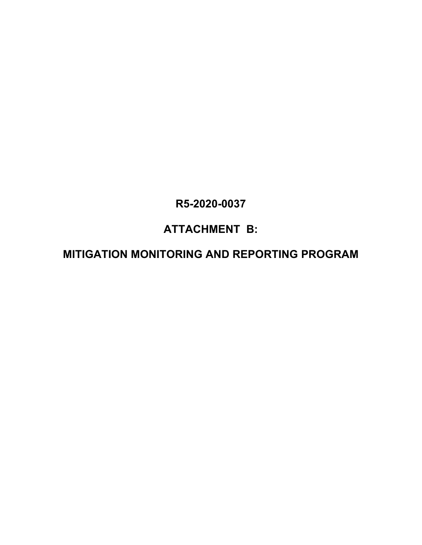# **R5-2020-0037**

# **ATTACHMENT B:**

# **MITIGATION MONITORING AND REPORTING PROGRAM**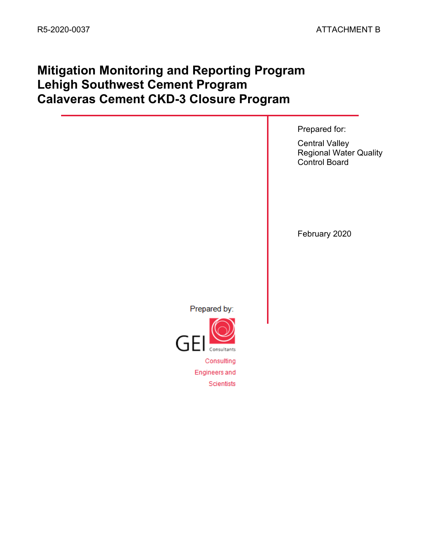# **Mitigation Monitoring and Reporting Program Lehigh Southwest Cement Program Calaveras Cement CKD-3 Closure Program**

Prepared for:

Central Valley Regional Water Quality Control Board

February 2020

Prepared by:

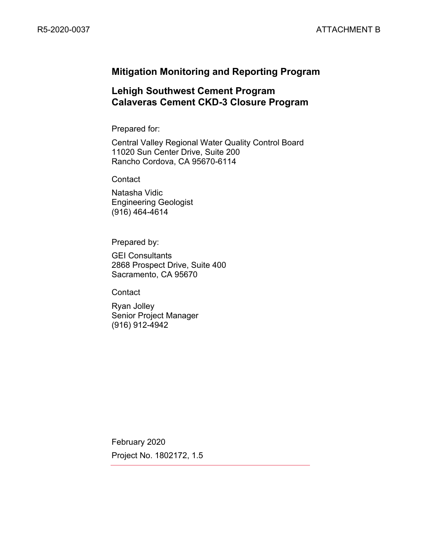### **Mitigation Monitoring and Reporting Program**

#### **Lehigh Southwest Cement Program Calaveras Cement CKD-3 Closure Program**

Prepared for:

Central Valley Regional Water Quality Control Board 11020 Sun Center Drive, Suite 200 Rancho Cordova, CA 95670-6114

**Contact** 

Natasha Vidic Engineering Geologist (916) 464-4614

Prepared by:

GEI Consultants 2868 Prospect Drive, Suite 400 Sacramento, CA 95670

**Contact** 

Ryan Jolley Senior Project Manager (916) 912-4942

February 2020 Project No. 1802172, 1.5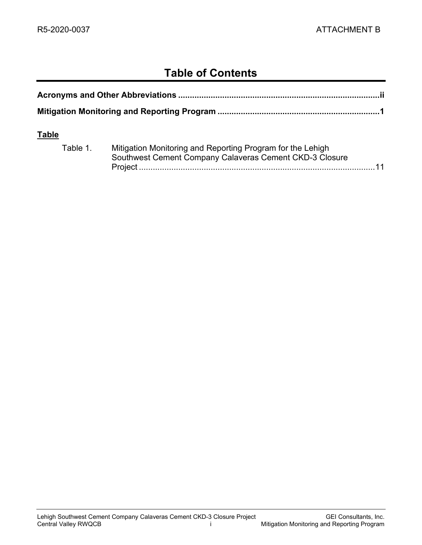# **Table of Contents**

### **Table**

| Table 1. | Mitigation Monitoring and Reporting Program for the Lehigh |  |
|----------|------------------------------------------------------------|--|
|          | Southwest Cement Company Calaveras Cement CKD-3 Closure    |  |
|          |                                                            |  |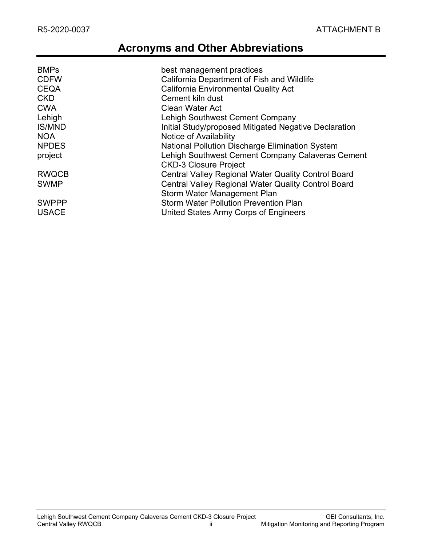# **Acronyms and Other Abbreviations**

<span id="page-17-0"></span>

| <b>BMPs</b><br><b>CDFW</b> | best management practices<br>California Department of Fish and Wildlife          |
|----------------------------|----------------------------------------------------------------------------------|
| <b>CEQA</b>                | <b>California Environmental Quality Act</b>                                      |
| <b>CKD</b>                 | Cement kiln dust                                                                 |
| <b>CWA</b>                 | <b>Clean Water Act</b>                                                           |
| Lehigh                     | Lehigh Southwest Cement Company                                                  |
| <b>IS/MND</b>              | Initial Study/proposed Mitigated Negative Declaration                            |
| <b>NOA</b>                 | Notice of Availability                                                           |
| <b>NPDES</b>               | <b>National Pollution Discharge Elimination System</b>                           |
| project                    | Lehigh Southwest Cement Company Calaveras Cement<br><b>CKD-3 Closure Project</b> |
| <b>RWQCB</b>               | <b>Central Valley Regional Water Quality Control Board</b>                       |
| <b>SWMP</b>                | <b>Central Valley Regional Water Quality Control Board</b>                       |
|                            | Storm Water Management Plan                                                      |
| <b>SWPPP</b>               | <b>Storm Water Pollution Prevention Plan</b>                                     |
| <b>USACE</b>               | United States Army Corps of Engineers                                            |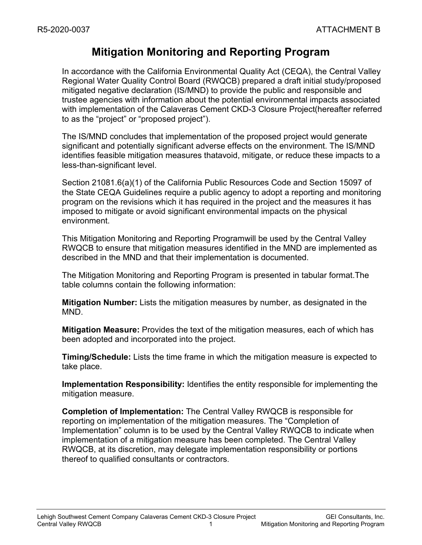# **Mitigation Monitoring and Reporting Program**

<span id="page-18-0"></span>In accordance with the California Environmental Quality Act (CEQA), the Central Valley Regional Water Quality Control Board (RWQCB) prepared a draft initial study/proposed mitigated negative declaration (IS/MND) to provide the public and responsible and trustee agencies with information about the potential environmental impacts associated with implementation of the Calaveras Cement CKD-3 Closure Project(hereafter referred to as the "project" or "proposed project").

The IS/MND concludes that implementation of the proposed project would generate significant and potentially significant adverse effects on the environment. The IS/MND identifies feasible mitigation measures thatavoid, mitigate, or reduce these impacts to a less-than-significant level.

Section 21081.6(a)(1) of the California Public Resources Code and Section 15097 of the State CEQA Guidelines require a public agency to adopt a reporting and monitoring program on the revisions which it has required in the project and the measures it has imposed to mitigate or avoid significant environmental impacts on the physical environment.

This Mitigation Monitoring and Reporting Programwill be used by the Central Valley RWQCB to ensure that mitigation measures identified in the MND are implemented as described in the MND and that their implementation is documented.

The Mitigation Monitoring and Reporting Program is presented in tabular format.The table columns contain the following information:

**Mitigation Number:** Lists the mitigation measures by number, as designated in the MND.

**Mitigation Measure:** Provides the text of the mitigation measures, each of which has been adopted and incorporated into the project.

**Timing/Schedule:** Lists the time frame in which the mitigation measure is expected to take place.

**Implementation Responsibility:** Identifies the entity responsible for implementing the mitigation measure.

**Completion of Implementation:** The Central Valley RWQCB is responsible for reporting on implementation of the mitigation measures. The "Completion of Implementation" column is to be used by the Central Valley RWQCB to indicate when implementation of a mitigation measure has been completed. The Central Valley RWQCB, at its discretion, may delegate implementation responsibility or portions thereof to qualified consultants or contractors.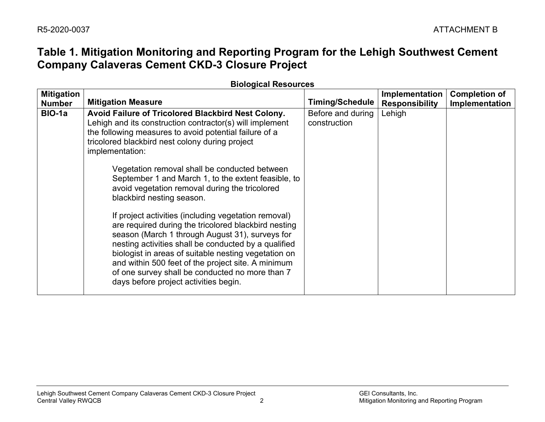## **Table 1. Mitigation Monitoring and Reporting Program for the Lehigh Southwest Cement Company Calaveras Cement CKD-3 Closure Project**

| <b>Mitigation</b> |                                                                                                                                                                                                                                                                                                                                                                                                                                                                                                                                                                                                                                                                                                                                                                                |                                   | Implementation        | <b>Completion of</b> |
|-------------------|--------------------------------------------------------------------------------------------------------------------------------------------------------------------------------------------------------------------------------------------------------------------------------------------------------------------------------------------------------------------------------------------------------------------------------------------------------------------------------------------------------------------------------------------------------------------------------------------------------------------------------------------------------------------------------------------------------------------------------------------------------------------------------|-----------------------------------|-----------------------|----------------------|
| <b>Number</b>     | <b>Mitigation Measure</b>                                                                                                                                                                                                                                                                                                                                                                                                                                                                                                                                                                                                                                                                                                                                                      | <b>Timing/Schedule</b>            | <b>Responsibility</b> | Implementation       |
| BIO-1a            | Avoid Failure of Tricolored Blackbird Nest Colony.<br>Lehigh and its construction contractor(s) will implement<br>the following measures to avoid potential failure of a<br>tricolored blackbird nest colony during project<br>implementation:<br>Vegetation removal shall be conducted between<br>September 1 and March 1, to the extent feasible, to<br>avoid vegetation removal during the tricolored<br>blackbird nesting season.<br>If project activities (including vegetation removal)<br>are required during the tricolored blackbird nesting<br>season (March 1 through August 31), surveys for<br>nesting activities shall be conducted by a qualified<br>biologist in areas of suitable nesting vegetation on<br>and within 500 feet of the project site. A minimum | Before and during<br>construction | Lehigh                |                      |
|                   | of one survey shall be conducted no more than 7<br>days before project activities begin.                                                                                                                                                                                                                                                                                                                                                                                                                                                                                                                                                                                                                                                                                       |                                   |                       |                      |

#### **Biological Resources**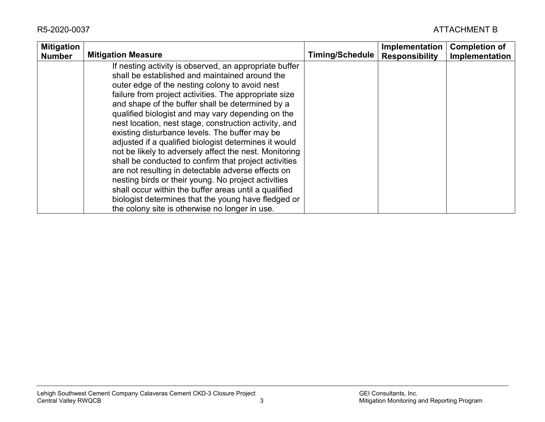| <b>Mitigation</b><br><b>Number</b> | <b>Mitigation Measure</b>                                                                                                                                                                                                                                                                                                                                                                                                                                                                                                                                  | <b>Timing/Schedule</b> | <b>Implementation</b><br><b>Responsibility</b> | <b>Completion of</b><br>Implementation |
|------------------------------------|------------------------------------------------------------------------------------------------------------------------------------------------------------------------------------------------------------------------------------------------------------------------------------------------------------------------------------------------------------------------------------------------------------------------------------------------------------------------------------------------------------------------------------------------------------|------------------------|------------------------------------------------|----------------------------------------|
|                                    | If nesting activity is observed, an appropriate buffer<br>shall be established and maintained around the<br>outer edge of the nesting colony to avoid nest<br>failure from project activities. The appropriate size<br>and shape of the buffer shall be determined by a<br>qualified biologist and may vary depending on the<br>nest location, nest stage, construction activity, and<br>existing disturbance levels. The buffer may be<br>adjusted if a qualified biologist determines it would<br>not be likely to adversely affect the nest. Monitoring |                        |                                                |                                        |
|                                    | shall be conducted to confirm that project activities<br>are not resulting in detectable adverse effects on<br>nesting birds or their young. No project activities<br>shall occur within the buffer areas until a qualified<br>biologist determines that the young have fledged or<br>the colony site is otherwise no longer in use.                                                                                                                                                                                                                       |                        |                                                |                                        |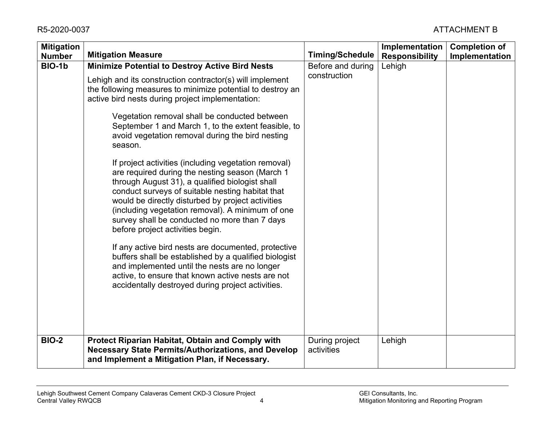| <b>Mitigation</b> |                                                                                                                                                                                                                                                                                                                                                                                                                                                                                                                                                                                                                                                                                         |                                   | Implementation        | <b>Completion of</b> |
|-------------------|-----------------------------------------------------------------------------------------------------------------------------------------------------------------------------------------------------------------------------------------------------------------------------------------------------------------------------------------------------------------------------------------------------------------------------------------------------------------------------------------------------------------------------------------------------------------------------------------------------------------------------------------------------------------------------------------|-----------------------------------|-----------------------|----------------------|
| <b>Number</b>     | <b>Mitigation Measure</b>                                                                                                                                                                                                                                                                                                                                                                                                                                                                                                                                                                                                                                                               | <b>Timing/Schedule</b>            | <b>Responsibility</b> | Implementation       |
| BIO-1b            | <b>Minimize Potential to Destroy Active Bird Nests</b>                                                                                                                                                                                                                                                                                                                                                                                                                                                                                                                                                                                                                                  | Before and during<br>construction | Lehigh                |                      |
|                   | Lehigh and its construction contractor(s) will implement<br>the following measures to minimize potential to destroy an<br>active bird nests during project implementation:                                                                                                                                                                                                                                                                                                                                                                                                                                                                                                              |                                   |                       |                      |
|                   | Vegetation removal shall be conducted between<br>September 1 and March 1, to the extent feasible, to<br>avoid vegetation removal during the bird nesting<br>season.                                                                                                                                                                                                                                                                                                                                                                                                                                                                                                                     |                                   |                       |                      |
|                   | If project activities (including vegetation removal)<br>are required during the nesting season (March 1<br>through August 31), a qualified biologist shall<br>conduct surveys of suitable nesting habitat that<br>would be directly disturbed by project activities<br>(including vegetation removal). A minimum of one<br>survey shall be conducted no more than 7 days<br>before project activities begin.<br>If any active bird nests are documented, protective<br>buffers shall be established by a qualified biologist<br>and implemented until the nests are no longer<br>active, to ensure that known active nests are not<br>accidentally destroyed during project activities. |                                   |                       |                      |
|                   |                                                                                                                                                                                                                                                                                                                                                                                                                                                                                                                                                                                                                                                                                         |                                   |                       |                      |
| <b>BIO-2</b>      | <b>Protect Riparian Habitat, Obtain and Comply with</b><br><b>Necessary State Permits/Authorizations, and Develop</b><br>and Implement a Mitigation Plan, if Necessary.                                                                                                                                                                                                                                                                                                                                                                                                                                                                                                                 | During project<br>activities      | Lehigh                |                      |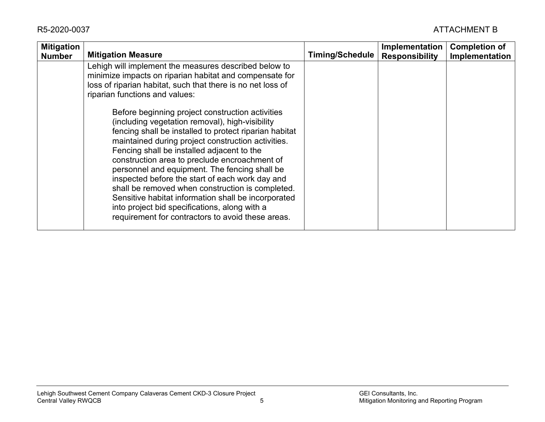| <b>Mitigation</b><br><b>Number</b> | <b>Mitigation Measure</b>                                                                                                                                                                                                                                                                                                                                                                                                                                                                                                                                                                                                                   | <b>Timing/Schedule</b> | Implementation<br><b>Responsibility</b> | <b>Completion of</b><br>Implementation |
|------------------------------------|---------------------------------------------------------------------------------------------------------------------------------------------------------------------------------------------------------------------------------------------------------------------------------------------------------------------------------------------------------------------------------------------------------------------------------------------------------------------------------------------------------------------------------------------------------------------------------------------------------------------------------------------|------------------------|-----------------------------------------|----------------------------------------|
|                                    | Lehigh will implement the measures described below to<br>minimize impacts on riparian habitat and compensate for<br>loss of riparian habitat, such that there is no net loss of<br>riparian functions and values:<br>Before beginning project construction activities<br>(including vegetation removal), high-visibility<br>fencing shall be installed to protect riparian habitat<br>maintained during project construction activities.<br>Fencing shall be installed adjacent to the<br>construction area to preclude encroachment of<br>personnel and equipment. The fencing shall be<br>inspected before the start of each work day and |                        |                                         |                                        |
|                                    | shall be removed when construction is completed.<br>Sensitive habitat information shall be incorporated<br>into project bid specifications, along with a<br>requirement for contractors to avoid these areas.                                                                                                                                                                                                                                                                                                                                                                                                                               |                        |                                         |                                        |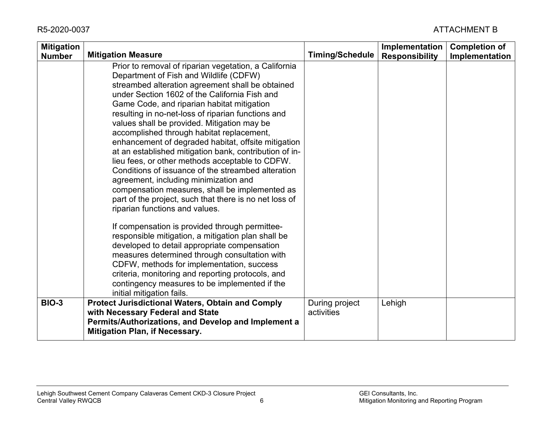| <b>Mitigation</b><br><b>Number</b> | <b>Mitigation Measure</b>                                                                                                                                                                                                                                                                                                                                                                                                                                                                                                                                                                                                                                                                                                                                                                                             | <b>Timing/Schedule</b>       | Implementation<br><b>Responsibility</b> | <b>Completion of</b><br>Implementation |
|------------------------------------|-----------------------------------------------------------------------------------------------------------------------------------------------------------------------------------------------------------------------------------------------------------------------------------------------------------------------------------------------------------------------------------------------------------------------------------------------------------------------------------------------------------------------------------------------------------------------------------------------------------------------------------------------------------------------------------------------------------------------------------------------------------------------------------------------------------------------|------------------------------|-----------------------------------------|----------------------------------------|
|                                    | Prior to removal of riparian vegetation, a California<br>Department of Fish and Wildlife (CDFW)<br>streambed alteration agreement shall be obtained<br>under Section 1602 of the California Fish and<br>Game Code, and riparian habitat mitigation<br>resulting in no-net-loss of riparian functions and<br>values shall be provided. Mitigation may be<br>accomplished through habitat replacement,<br>enhancement of degraded habitat, offsite mitigation<br>at an established mitigation bank, contribution of in-<br>lieu fees, or other methods acceptable to CDFW.<br>Conditions of issuance of the streambed alteration<br>agreement, including minimization and<br>compensation measures, shall be implemented as<br>part of the project, such that there is no net loss of<br>riparian functions and values. |                              |                                         |                                        |
|                                    | If compensation is provided through permittee-<br>responsible mitigation, a mitigation plan shall be<br>developed to detail appropriate compensation<br>measures determined through consultation with<br>CDFW, methods for implementation, success<br>criteria, monitoring and reporting protocols, and<br>contingency measures to be implemented if the<br>initial mitigation fails.                                                                                                                                                                                                                                                                                                                                                                                                                                 |                              |                                         |                                        |
| <b>BIO-3</b>                       | <b>Protect Jurisdictional Waters, Obtain and Comply</b><br>with Necessary Federal and State<br>Permits/Authorizations, and Develop and Implement a<br><b>Mitigation Plan, if Necessary.</b>                                                                                                                                                                                                                                                                                                                                                                                                                                                                                                                                                                                                                           | During project<br>activities | Lehigh                                  |                                        |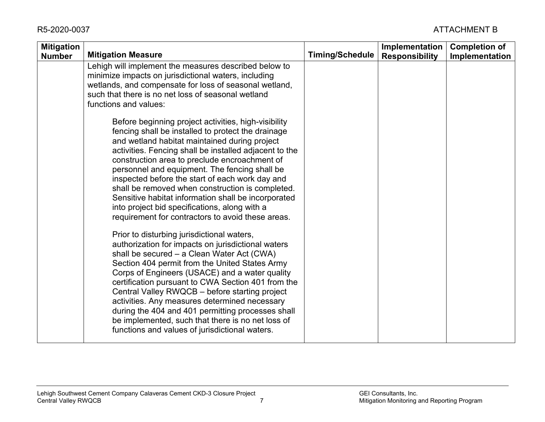| <b>Mitigation</b><br><b>Number</b> | <b>Mitigation Measure</b>                                                                                                                                                                                                                                                                                                                                                                                                                                                                                                                                                                   | <b>Timing/Schedule</b> | Implementation<br><b>Responsibility</b> | <b>Completion of</b><br>Implementation |
|------------------------------------|---------------------------------------------------------------------------------------------------------------------------------------------------------------------------------------------------------------------------------------------------------------------------------------------------------------------------------------------------------------------------------------------------------------------------------------------------------------------------------------------------------------------------------------------------------------------------------------------|------------------------|-----------------------------------------|----------------------------------------|
|                                    | Lehigh will implement the measures described below to<br>minimize impacts on jurisdictional waters, including<br>wetlands, and compensate for loss of seasonal wetland,<br>such that there is no net loss of seasonal wetland<br>functions and values:                                                                                                                                                                                                                                                                                                                                      |                        |                                         |                                        |
|                                    | Before beginning project activities, high-visibility<br>fencing shall be installed to protect the drainage<br>and wetland habitat maintained during project<br>activities. Fencing shall be installed adjacent to the<br>construction area to preclude encroachment of<br>personnel and equipment. The fencing shall be<br>inspected before the start of each work day and<br>shall be removed when construction is completed.<br>Sensitive habitat information shall be incorporated<br>into project bid specifications, along with a<br>requirement for contractors to avoid these areas. |                        |                                         |                                        |
|                                    | Prior to disturbing jurisdictional waters,<br>authorization for impacts on jurisdictional waters<br>shall be secured - a Clean Water Act (CWA)<br>Section 404 permit from the United States Army<br>Corps of Engineers (USACE) and a water quality<br>certification pursuant to CWA Section 401 from the<br>Central Valley RWQCB - before starting project<br>activities. Any measures determined necessary<br>during the 404 and 401 permitting processes shall<br>be implemented, such that there is no net loss of<br>functions and values of jurisdictional waters.                     |                        |                                         |                                        |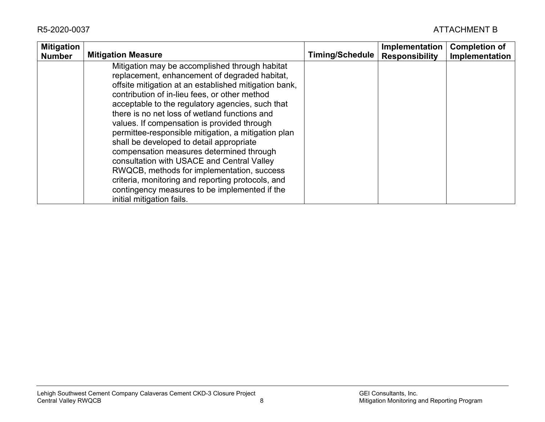| <b>Mitigation</b><br><b>Number</b> | <b>Mitigation Measure</b>                                                                                                                                                                                                                                                                                                                                                                                                                                                                                                                                                                                                                                                                                                                   | <b>Timing/Schedule</b> | <b>Implementation</b><br><b>Responsibility</b> | <b>Completion of</b><br>Implementation |
|------------------------------------|---------------------------------------------------------------------------------------------------------------------------------------------------------------------------------------------------------------------------------------------------------------------------------------------------------------------------------------------------------------------------------------------------------------------------------------------------------------------------------------------------------------------------------------------------------------------------------------------------------------------------------------------------------------------------------------------------------------------------------------------|------------------------|------------------------------------------------|----------------------------------------|
|                                    | Mitigation may be accomplished through habitat<br>replacement, enhancement of degraded habitat,<br>offsite mitigation at an established mitigation bank,<br>contribution of in-lieu fees, or other method<br>acceptable to the regulatory agencies, such that<br>there is no net loss of wetland functions and<br>values. If compensation is provided through<br>permittee-responsible mitigation, a mitigation plan<br>shall be developed to detail appropriate<br>compensation measures determined through<br>consultation with USACE and Central Valley<br>RWQCB, methods for implementation, success<br>criteria, monitoring and reporting protocols, and<br>contingency measures to be implemented if the<br>initial mitigation fails. |                        |                                                |                                        |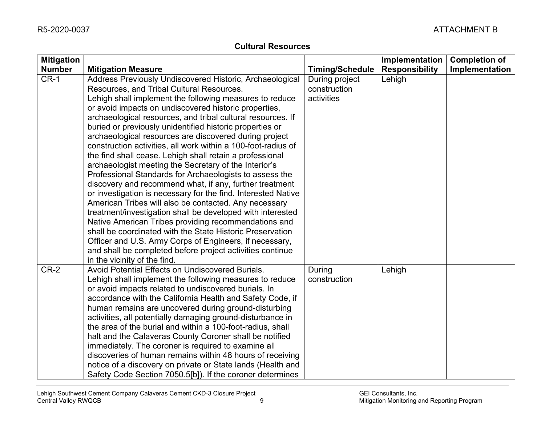#### **Cultural Resources**

| <b>Mitigation</b> |                                                                                                                                                                                                                                                                                                                                                                                                                                                                                                                                                                                                                                                                                                                                                                                                                                                                                                                                                                                                                                                                                                                                                                                                 |                                              | Implementation        | <b>Completion of</b> |
|-------------------|-------------------------------------------------------------------------------------------------------------------------------------------------------------------------------------------------------------------------------------------------------------------------------------------------------------------------------------------------------------------------------------------------------------------------------------------------------------------------------------------------------------------------------------------------------------------------------------------------------------------------------------------------------------------------------------------------------------------------------------------------------------------------------------------------------------------------------------------------------------------------------------------------------------------------------------------------------------------------------------------------------------------------------------------------------------------------------------------------------------------------------------------------------------------------------------------------|----------------------------------------------|-----------------------|----------------------|
| <b>Number</b>     | <b>Mitigation Measure</b>                                                                                                                                                                                                                                                                                                                                                                                                                                                                                                                                                                                                                                                                                                                                                                                                                                                                                                                                                                                                                                                                                                                                                                       | <b>Timing/Schedule</b>                       | <b>Responsibility</b> | Implementation       |
| $CR-1$            | Address Previously Undiscovered Historic, Archaeological<br>Resources, and Tribal Cultural Resources.<br>Lehigh shall implement the following measures to reduce<br>or avoid impacts on undiscovered historic properties,<br>archaeological resources, and tribal cultural resources. If<br>buried or previously unidentified historic properties or<br>archaeological resources are discovered during project<br>construction activities, all work within a 100-foot-radius of<br>the find shall cease. Lehigh shall retain a professional<br>archaeologist meeting the Secretary of the Interior's<br>Professional Standards for Archaeologists to assess the<br>discovery and recommend what, if any, further treatment<br>or investigation is necessary for the find. Interested Native<br>American Tribes will also be contacted. Any necessary<br>treatment/investigation shall be developed with interested<br>Native American Tribes providing recommendations and<br>shall be coordinated with the State Historic Preservation<br>Officer and U.S. Army Corps of Engineers, if necessary,<br>and shall be completed before project activities continue<br>in the vicinity of the find. | During project<br>construction<br>activities | Lehigh                |                      |
| $CR-2$            | Avoid Potential Effects on Undiscovered Burials.<br>Lehigh shall implement the following measures to reduce<br>or avoid impacts related to undiscovered burials. In<br>accordance with the California Health and Safety Code, if<br>human remains are uncovered during ground-disturbing<br>activities, all potentially damaging ground-disturbance in<br>the area of the burial and within a 100-foot-radius, shall<br>halt and the Calaveras County Coroner shall be notified<br>immediately. The coroner is required to examine all<br>discoveries of human remains within 48 hours of receiving<br>notice of a discovery on private or State lands (Health and<br>Safety Code Section 7050.5[b]). If the coroner determines                                                                                                                                                                                                                                                                                                                                                                                                                                                                 | During<br>construction                       | Lehigh                |                      |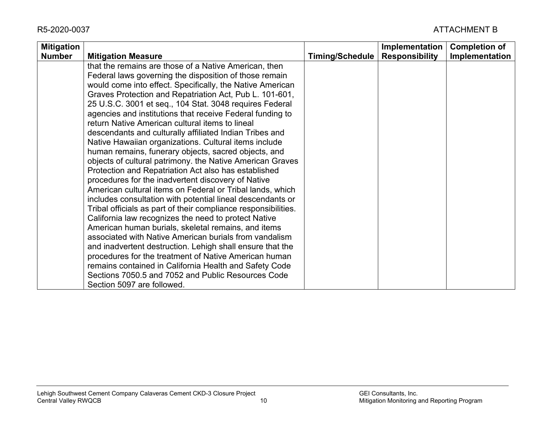| <b>Mitigation</b> |                                                                |                        | Implementation        | <b>Completion of</b>  |
|-------------------|----------------------------------------------------------------|------------------------|-----------------------|-----------------------|
| <b>Number</b>     | <b>Mitigation Measure</b>                                      | <b>Timing/Schedule</b> | <b>Responsibility</b> | <b>Implementation</b> |
|                   | that the remains are those of a Native American, then          |                        |                       |                       |
|                   | Federal laws governing the disposition of those remain         |                        |                       |                       |
|                   | would come into effect. Specifically, the Native American      |                        |                       |                       |
|                   | Graves Protection and Repatriation Act, Pub L. 101-601,        |                        |                       |                       |
|                   | 25 U.S.C. 3001 et seq., 104 Stat. 3048 requires Federal        |                        |                       |                       |
|                   | agencies and institutions that receive Federal funding to      |                        |                       |                       |
|                   | return Native American cultural items to lineal                |                        |                       |                       |
|                   | descendants and culturally affiliated Indian Tribes and        |                        |                       |                       |
|                   | Native Hawaiian organizations. Cultural items include          |                        |                       |                       |
|                   | human remains, funerary objects, sacred objects, and           |                        |                       |                       |
|                   | objects of cultural patrimony. the Native American Graves      |                        |                       |                       |
|                   | Protection and Repatriation Act also has established           |                        |                       |                       |
|                   | procedures for the inadvertent discovery of Native             |                        |                       |                       |
|                   | American cultural items on Federal or Tribal lands, which      |                        |                       |                       |
|                   | includes consultation with potential lineal descendants or     |                        |                       |                       |
|                   | Tribal officials as part of their compliance responsibilities. |                        |                       |                       |
|                   | California law recognizes the need to protect Native           |                        |                       |                       |
|                   | American human burials, skeletal remains, and items            |                        |                       |                       |
|                   | associated with Native American burials from vandalism         |                        |                       |                       |
|                   | and inadvertent destruction. Lehigh shall ensure that the      |                        |                       |                       |
|                   | procedures for the treatment of Native American human          |                        |                       |                       |
|                   | remains contained in California Health and Safety Code         |                        |                       |                       |
|                   | Sections 7050.5 and 7052 and Public Resources Code             |                        |                       |                       |
|                   | Section 5097 are followed.                                     |                        |                       |                       |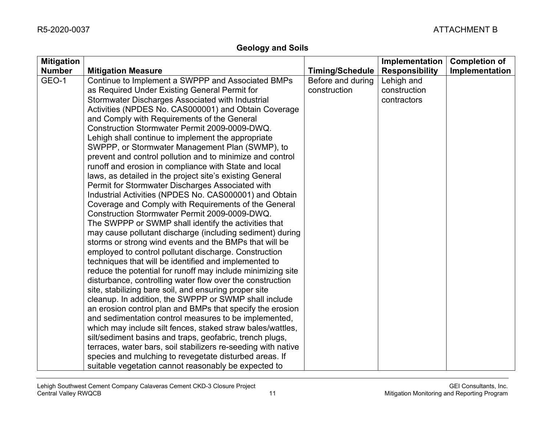### **Geology and Soils**

| <b>Mitigation</b> |                                                               |                        | Implementation        | <b>Completion of</b> |
|-------------------|---------------------------------------------------------------|------------------------|-----------------------|----------------------|
| <b>Number</b>     | <b>Mitigation Measure</b>                                     | <b>Timing/Schedule</b> | <b>Responsibility</b> | Implementation       |
| GEO-1             | Continue to Implement a SWPPP and Associated BMPs             | Before and during      | Lehigh and            |                      |
|                   | as Required Under Existing General Permit for                 | construction           | construction          |                      |
|                   | Stormwater Discharges Associated with Industrial              |                        | contractors           |                      |
|                   | Activities (NPDES No. CAS000001) and Obtain Coverage          |                        |                       |                      |
|                   | and Comply with Requirements of the General                   |                        |                       |                      |
|                   | Construction Stormwater Permit 2009-0009-DWQ.                 |                        |                       |                      |
|                   | Lehigh shall continue to implement the appropriate            |                        |                       |                      |
|                   | SWPPP, or Stormwater Management Plan (SWMP), to               |                        |                       |                      |
|                   | prevent and control pollution and to minimize and control     |                        |                       |                      |
|                   | runoff and erosion in compliance with State and local         |                        |                       |                      |
|                   | laws, as detailed in the project site's existing General      |                        |                       |                      |
|                   | Permit for Stormwater Discharges Associated with              |                        |                       |                      |
|                   | Industrial Activities (NPDES No. CAS000001) and Obtain        |                        |                       |                      |
|                   | Coverage and Comply with Requirements of the General          |                        |                       |                      |
|                   | Construction Stormwater Permit 2009-0009-DWQ.                 |                        |                       |                      |
|                   | The SWPPP or SWMP shall identify the activities that          |                        |                       |                      |
|                   | may cause pollutant discharge (including sediment) during     |                        |                       |                      |
|                   | storms or strong wind events and the BMPs that will be        |                        |                       |                      |
|                   | employed to control pollutant discharge. Construction         |                        |                       |                      |
|                   | techniques that will be identified and implemented to         |                        |                       |                      |
|                   | reduce the potential for runoff may include minimizing site   |                        |                       |                      |
|                   | disturbance, controlling water flow over the construction     |                        |                       |                      |
|                   | site, stabilizing bare soil, and ensuring proper site         |                        |                       |                      |
|                   | cleanup. In addition, the SWPPP or SWMP shall include         |                        |                       |                      |
|                   | an erosion control plan and BMPs that specify the erosion     |                        |                       |                      |
|                   | and sedimentation control measures to be implemented,         |                        |                       |                      |
|                   | which may include silt fences, staked straw bales/wattles,    |                        |                       |                      |
|                   | silt/sediment basins and traps, geofabric, trench plugs,      |                        |                       |                      |
|                   | terraces, water bars, soil stabilizers re-seeding with native |                        |                       |                      |
|                   | species and mulching to revegetate disturbed areas. If        |                        |                       |                      |
|                   | suitable vegetation cannot reasonably be expected to          |                        |                       |                      |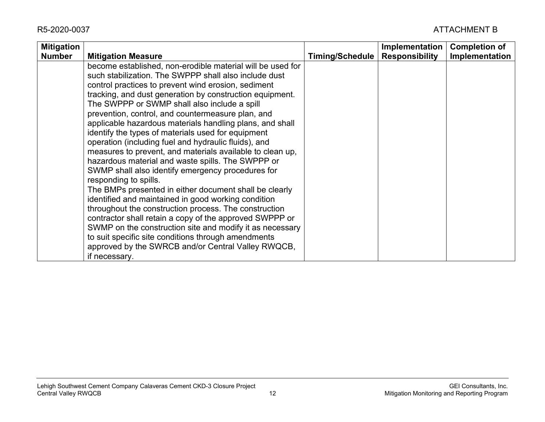| <b>Mitigation</b> |                                                            |                 | Implementation        | <b>Completion of</b> |
|-------------------|------------------------------------------------------------|-----------------|-----------------------|----------------------|
| <b>Number</b>     | <b>Mitigation Measure</b>                                  | Timing/Schedule | <b>Responsibility</b> | Implementation       |
|                   | become established, non-erodible material will be used for |                 |                       |                      |
|                   | such stabilization. The SWPPP shall also include dust      |                 |                       |                      |
|                   | control practices to prevent wind erosion, sediment        |                 |                       |                      |
|                   | tracking, and dust generation by construction equipment.   |                 |                       |                      |
|                   | The SWPPP or SWMP shall also include a spill               |                 |                       |                      |
|                   | prevention, control, and countermeasure plan, and          |                 |                       |                      |
|                   | applicable hazardous materials handling plans, and shall   |                 |                       |                      |
|                   | identify the types of materials used for equipment         |                 |                       |                      |
|                   | operation (including fuel and hydraulic fluids), and       |                 |                       |                      |
|                   | measures to prevent, and materials available to clean up,  |                 |                       |                      |
|                   | hazardous material and waste spills. The SWPPP or          |                 |                       |                      |
|                   | SWMP shall also identify emergency procedures for          |                 |                       |                      |
|                   | responding to spills.                                      |                 |                       |                      |
|                   | The BMPs presented in either document shall be clearly     |                 |                       |                      |
|                   | identified and maintained in good working condition        |                 |                       |                      |
|                   | throughout the construction process. The construction      |                 |                       |                      |
|                   | contractor shall retain a copy of the approved SWPPP or    |                 |                       |                      |
|                   | SWMP on the construction site and modify it as necessary   |                 |                       |                      |
|                   | to suit specific site conditions through amendments        |                 |                       |                      |
|                   | approved by the SWRCB and/or Central Valley RWQCB,         |                 |                       |                      |
|                   | if necessary.                                              |                 |                       |                      |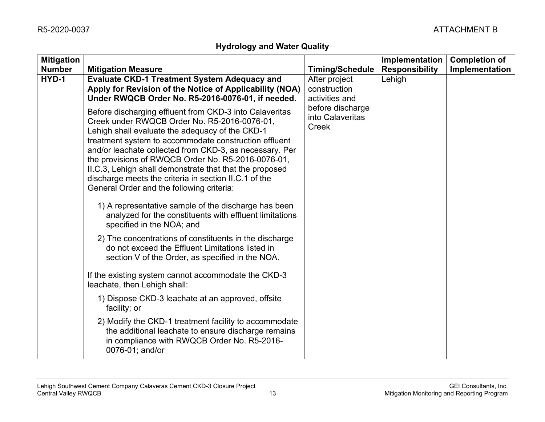#### **Hydrology and Water Quality**

| <b>Mitigation</b> |                                                                                                                                                                                                                                                                                                                                                                                                                                                                                                                                                                                                                                                                                                                 |                                                                                                  | Implementation        | <b>Completion of</b> |
|-------------------|-----------------------------------------------------------------------------------------------------------------------------------------------------------------------------------------------------------------------------------------------------------------------------------------------------------------------------------------------------------------------------------------------------------------------------------------------------------------------------------------------------------------------------------------------------------------------------------------------------------------------------------------------------------------------------------------------------------------|--------------------------------------------------------------------------------------------------|-----------------------|----------------------|
| <b>Number</b>     | <b>Mitigation Measure</b>                                                                                                                                                                                                                                                                                                                                                                                                                                                                                                                                                                                                                                                                                       | <b>Timing/Schedule</b>                                                                           | <b>Responsibility</b> | Implementation       |
| HYD-1             | <b>Evaluate CKD-1 Treatment System Adequacy and</b><br>Apply for Revision of the Notice of Applicability (NOA)<br>Under RWQCB Order No. R5-2016-0076-01, if needed.                                                                                                                                                                                                                                                                                                                                                                                                                                                                                                                                             | After project<br>construction<br>activities and<br>before discharge<br>into Calaveritas<br>Creek | Lehigh                |                      |
|                   | Before discharging effluent from CKD-3 into Calaveritas<br>Creek under RWQCB Order No. R5-2016-0076-01,<br>Lehigh shall evaluate the adequacy of the CKD-1<br>treatment system to accommodate construction effluent<br>and/or leachate collected from CKD-3, as necessary. Per<br>the provisions of RWQCB Order No. R5-2016-0076-01,<br>II.C.3, Lehigh shall demonstrate that that the proposed<br>discharge meets the criteria in section II.C.1 of the<br>General Order and the following criteria:<br>1) A representative sample of the discharge has been<br>analyzed for the constituents with effluent limitations<br>specified in the NOA; and<br>2) The concentrations of constituents in the discharge |                                                                                                  |                       |                      |
|                   | do not exceed the Effluent Limitations listed in<br>section V of the Order, as specified in the NOA.                                                                                                                                                                                                                                                                                                                                                                                                                                                                                                                                                                                                            |                                                                                                  |                       |                      |
|                   | If the existing system cannot accommodate the CKD-3<br>leachate, then Lehigh shall:                                                                                                                                                                                                                                                                                                                                                                                                                                                                                                                                                                                                                             |                                                                                                  |                       |                      |
|                   | 1) Dispose CKD-3 leachate at an approved, offsite<br>facility; or                                                                                                                                                                                                                                                                                                                                                                                                                                                                                                                                                                                                                                               |                                                                                                  |                       |                      |
|                   | 2) Modify the CKD-1 treatment facility to accommodate<br>the additional leachate to ensure discharge remains<br>in compliance with RWQCB Order No. R5-2016-<br>0076-01; and/or                                                                                                                                                                                                                                                                                                                                                                                                                                                                                                                                  |                                                                                                  |                       |                      |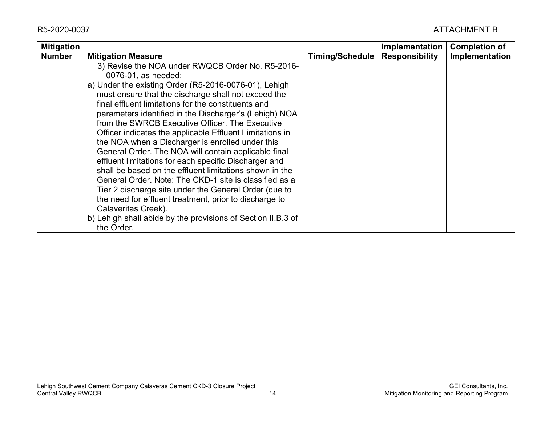| <b>Mitigation</b> |                                                                                                                                                                                                                                                                                                                                                                                                                                                                                                                                                                                                                                                                                                                                                                                                                                                                                                                                                                        |                 | Implementation        | <b>Completion of</b>  |
|-------------------|------------------------------------------------------------------------------------------------------------------------------------------------------------------------------------------------------------------------------------------------------------------------------------------------------------------------------------------------------------------------------------------------------------------------------------------------------------------------------------------------------------------------------------------------------------------------------------------------------------------------------------------------------------------------------------------------------------------------------------------------------------------------------------------------------------------------------------------------------------------------------------------------------------------------------------------------------------------------|-----------------|-----------------------|-----------------------|
| <b>Number</b>     | <b>Mitigation Measure</b><br>3) Revise the NOA under RWQCB Order No. R5-2016-<br>0076-01, as needed:<br>a) Under the existing Order (R5-2016-0076-01), Lehigh<br>must ensure that the discharge shall not exceed the<br>final effluent limitations for the constituents and<br>parameters identified in the Discharger's (Lehigh) NOA<br>from the SWRCB Executive Officer. The Executive<br>Officer indicates the applicable Effluent Limitations in<br>the NOA when a Discharger is enrolled under this<br>General Order. The NOA will contain applicable final<br>effluent limitations for each specific Discharger and<br>shall be based on the effluent limitations shown in the<br>General Order. Note: The CKD-1 site is classified as a<br>Tier 2 discharge site under the General Order (due to<br>the need for effluent treatment, prior to discharge to<br>Calaveritas Creek).<br>b) Lehigh shall abide by the provisions of Section II.B.3 of<br>the Order. | Timing/Schedule | <b>Responsibility</b> | <b>Implementation</b> |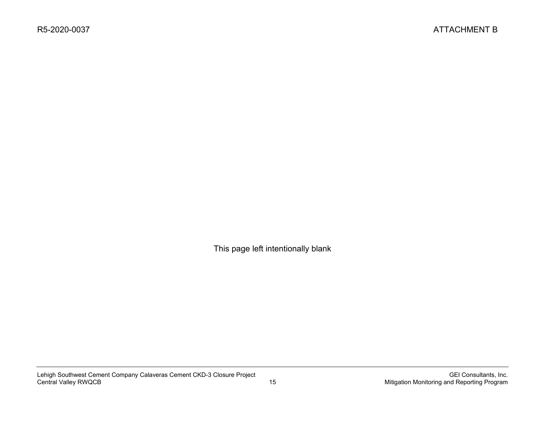This page left intentionally blank